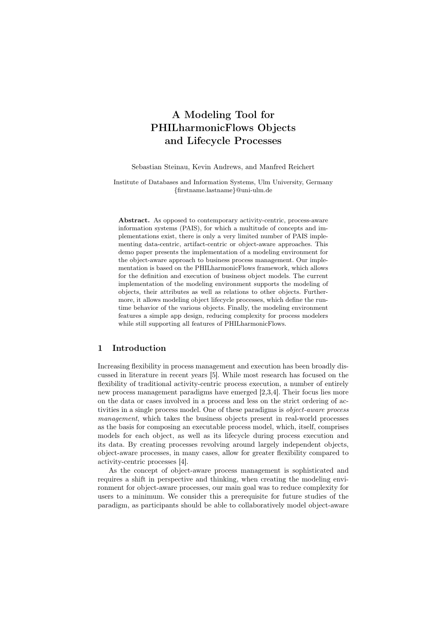# A Modeling Tool for PHILharmonicFlows Objects and Lifecycle Processes

Sebastian Steinau, Kevin Andrews, and Manfred Reichert

Institute of Databases and Information Systems, Ulm University, Germany {firstname.lastname}@uni-ulm.de

Abstract. As opposed to contemporary activity-centric, process-aware information systems (PAIS), for which a multitude of concepts and implementations exist, there is only a very limited number of PAIS implementing data-centric, artifact-centric or object-aware approaches. This demo paper presents the implementation of a modeling environment for the object-aware approach to business process management. Our implementation is based on the PHILharmonicFlows framework, which allows for the definition and execution of business object models. The current implementation of the modeling environment supports the modeling of objects, their attributes as well as relations to other objects. Furthermore, it allows modeling object lifecycle processes, which define the runtime behavior of the various objects. Finally, the modeling environment features a simple app design, reducing complexity for process modelers while still supporting all features of PHILharmonicFlows.

## 1 Introduction

Increasing flexibility in process management and execution has been broadly discussed in literature in recent years [5]. While most research has focused on the flexibility of traditional activity-centric process execution, a number of entirely new process management paradigms have emerged [2,3,4]. Their focus lies more on the data or cases involved in a process and less on the strict ordering of activities in a single process model. One of these paradigms is *object-aware process management*, which takes the business objects present in real-world processes as the basis for composing an executable process model, which, itself, comprises models for each object, as well as its lifecycle during process execution and its data. By creating processes revolving around largely independent objects, object-aware processes, in many cases, allow for greater flexibility compared to activity-centric processes [4].

As the concept of object-aware process management is sophisticated and requires a shift in perspective and thinking, when creating the modeling environment for object-aware processes, our main goal was to reduce complexity for users to a minimum. We consider this a prerequisite for future studies of the paradigm, as participants should be able to collaboratively model object-aware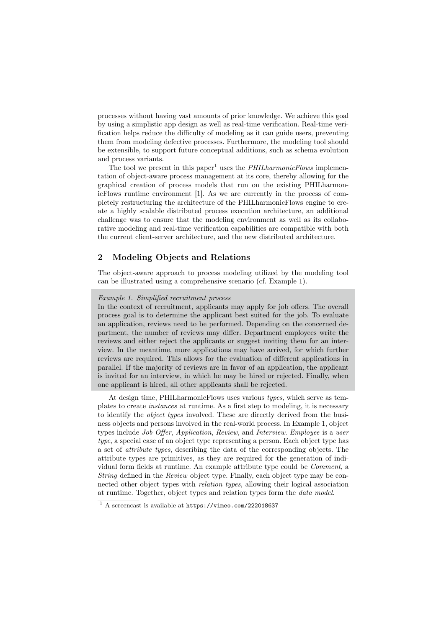processes without having vast amounts of prior knowledge. We achieve this goal by using a simplistic app design as well as real-time verification. Real-time verification helps reduce the difficulty of modeling as it can guide users, preventing them from modeling defective processes. Furthermore, the modeling tool should be extensible, to support future conceptual additions, such as schema evolution and process variants.

The tool we present in this paper<sup>1</sup> uses the  $PHILharmonicFlows$  implementation of object-aware process management at its core, thereby allowing for the graphical creation of process models that run on the existing PHILharmonicFlows runtime environment [1]. As we are currently in the process of completely restructuring the architecture of the PHILharmonicFlows engine to create a highly scalable distributed process execution architecture, an additional challenge was to ensure that the modeling environment as well as its collaborative modeling and real-time verification capabilities are compatible with both the current client-server architecture, and the new distributed architecture.

## 2 Modeling Objects and Relations

The object-aware approach to process modeling utilized by the modeling tool can be illustrated using a comprehensive scenario (cf. Example 1).

#### *Example 1. Simplified recruitment process*

In the context of recruitment, applicants may apply for job offers. The overall process goal is to determine the applicant best suited for the job. To evaluate an application, reviews need to be performed. Depending on the concerned department, the number of reviews may differ. Department employees write the reviews and either reject the applicants or suggest inviting them for an interview. In the meantime, more applications may have arrived, for which further reviews are required. This allows for the evaluation of different applications in parallel. If the majority of reviews are in favor of an application, the applicant is invited for an interview, in which he may be hired or rejected. Finally, when one applicant is hired, all other applicants shall be rejected.

At design time, PHILharmonicFlows uses various *types*, which serve as templates to create *instances* at runtime. As a first step to modeling, it is necessary to identify the *object types* involved. These are directly derived from the business objects and persons involved in the real-world process. In Example 1, object types include *Job O*ff*er*, *Application*, *Review*, and *Interview*. *Employee* is a *user type*, a special case of an object type representing a person. Each object type has a set of *attribute types*, describing the data of the corresponding objects. The attribute types are primitives, as they are required for the generation of individual form fields at runtime. An example attribute type could be *Comment*, a *String* defined in the *Review* object type. Finally, each object type may be connected other object types with *relation types*, allowing their logical association at runtime. Together, object types and relation types form the *data model*.

<sup>1</sup> A screencast is available at https://vimeo.com/222018637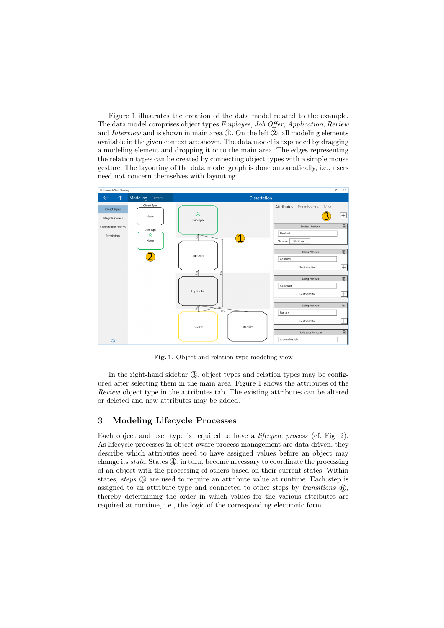Figure 1 illustrates the creation of the data model related to the example. The data model comprises object types *Employee*, *Job O*ff*er*, *Application*, *Review* and *Interview* and is shown in main area  $(1)$ . On the left  $(2)$ , all modeling elements available in the given context are shown. The data model is expanded by dragging a modeling element and dropping it onto the main area. The edges representing the relation types can be created by connecting object types with a simple mouse gesture. The layouting of the data model graph is done automatically, i.e., users need not concern themselves with layouting.



Fig. 1. Object and relation type modeling view

In the right-hand sidebar  $(3)$ , object types and relation types may be configured after selecting them in the main area. Figure 1 shows the attributes of the *Review* object type in the attributes tab. The existing attributes can be altered or deleted and new attributes may be added.

#### 3 Modeling Lifecycle Processes

Each object and user type is required to have a *lifecycle process* (cf. Fig. 2). As lifecycle processes in object-aware process management are data-driven, they describe which attributes need to have assigned values before an object may change its *state*. States  $(4)$ , in turn, become necessary to coordinate the processing of an object with the processing of others based on their current states. Within states, *steps*  $(5)$  are used to require an attribute value at runtime. Each step is assigned to an attribute type and connected to other steps by *transitions* (6), thereby determining the order in which values for the various attributes are required at runtime, i.e., the logic of the corresponding electronic form.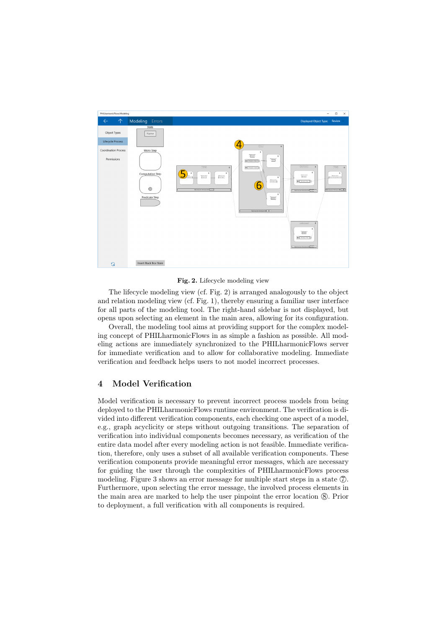

Fig. 2. Lifecycle modeling view

The lifecycle modeling view (cf. Fig. 2) is arranged analogously to the object and relation modeling view (cf. Fig. 1), thereby ensuring a familiar user interface for all parts of the modeling tool. The right-hand sidebar is not displayed, but opens upon selecting an element in the main area, allowing for its configuration.

Overall, the modeling tool aims at providing support for the complex modeling concept of PHILharmonicFlows in as simple a fashion as possible. All modeling actions are immediately synchronized to the PHILharmonicFlows server for immediate verification and to allow for collaborative modeling. Immediate verification and feedback helps users to not model incorrect processes.

## 4 Model Verification

Model verification is necessary to prevent incorrect process models from being deployed to the PHILharmonicFlows runtime environment. The verification is divided into different verification components, each checking one aspect of a model, e.g., graph acyclicity or steps without outgoing transitions. The separation of verification into individual components becomes necessary, as verification of the entire data model after every modeling action is not feasible. Immediate verification, therefore, only uses a subset of all available verification components. These verification components provide meaningful error messages, which are necessary for guiding the user through the complexities of PHILharmonicFlows process modeling. Figure 3 shows an error message for multiple start steps in a state  $(7)$ . Furthermore, upon selecting the error message, the involved process elements in the main area are marked to help the user pinpoint the error location  $\circledR$ . Prior to deployment, a full verification with all components is required.